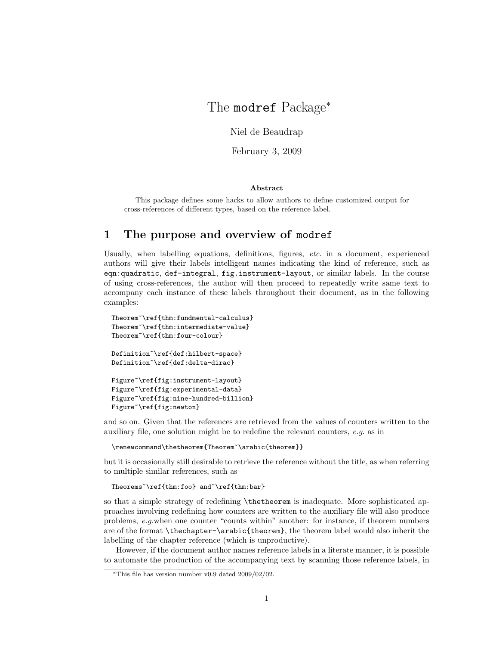# The modref Package<sup>∗</sup>

Niel de Beaudrap

February 3, 2009

#### Abstract

This package defines some hacks to allow authors to define customized output for cross-references of different types, based on the reference label.

# 1 The purpose and overview of modref

Usually, when labelling equations, definitions, figures, etc. in a document, experienced authors will give their labels intelligent names indicating the kind of reference, such as eqn:quadratic, def-integral, fig.instrument-layout, or similar labels. In the course of using cross-references, the author will then proceed to repeatedly write same text to accompany each instance of these labels throughout their document, as in the following examples:

```
Theorem~\ref{thm:fundmental-calculus}
Theorem~\ref{thm:intermediate-value}
Theorem~\ref{thm:four-colour}
Definition~\ref{def:hilbert-space}
Definition~\ref{def:delta-dirac}
Figure~\ref{fig:instrument-layout}
Figure~\ref{fig:experimental-data}
Figure~\ref{fig:nine-hundred-billion}
Figure~\ref{fig:newton}
```
and so on. Given that the references are retrieved from the values of counters written to the auxiliary file, one solution might be to redefine the relevant counters, e.g. as in

\renewcommand\thetheorem{Theorem~\arabic{theorem}}

but it is occasionally still desirable to retrieve the reference without the title, as when referring to multiple similar references, such as

```
Theorems~\ref{thm:foo} and~\ref{thm:bar}
```
so that a simple strategy of redefining \thetheorem is inadequate. More sophisticated approaches involving redefining how counters are written to the auxiliary file will also produce problems, e.g.when one counter "counts within" another: for instance, if theorem numbers are of the format \thechapter-\arabic{theorem}, the theorem label would also inherit the labelling of the chapter reference (which is unproductive).

However, if the document author names reference labels in a literate manner, it is possible to automate the production of the accompanying text by scanning those reference labels, in

<sup>∗</sup>This file has version number v0.9 dated 2009/02/02.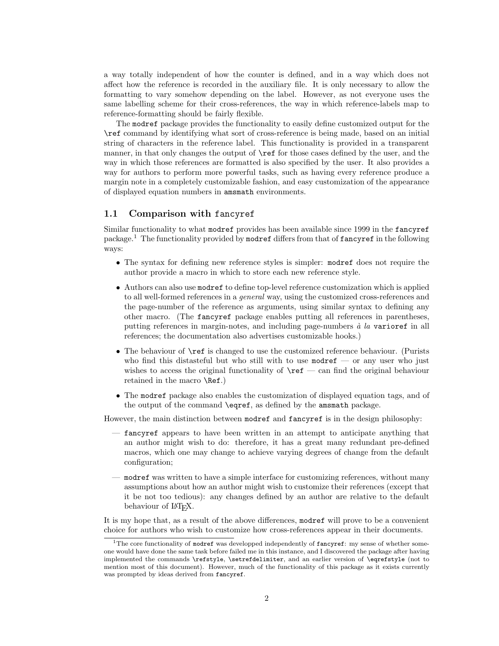a way totally independent of how the counter is defined, and in a way which does not affect how the reference is recorded in the auxiliary file. It is only necessary to allow the formatting to vary somehow depending on the label. However, as not everyone uses the same labelling scheme for their cross-references, the way in which reference-labels map to reference-formatting should be fairly flexible.

The modref package provides the functionality to easily define customized output for the \ref command by identifying what sort of cross-reference is being made, based on an initial string of characters in the reference label. This functionality is provided in a transparent manner, in that only changes the output of \ref for those cases defined by the user, and the way in which those references are formatted is also specified by the user. It also provides a way for authors to perform more powerful tasks, such as having every reference produce a margin note in a completely customizable fashion, and easy customization of the appearance of displayed equation numbers in amsmath environments.

# 1.1 Comparison with fancyref

Similar functionality to what modref provides has been available since 1999 in the fancyref package.<sup>1</sup> The functionality provided by modref differs from that of  $f$  and  $g$  in the following ways:

- The syntax for defining new reference styles is simpler: modref does not require the author provide a macro in which to store each new reference style.
- Authors can also use modref to define top-level reference customization which is applied to all well-formed references in a *general* way, using the customized cross-references and the page-number of the reference as arguments, using similar syntax to defining any other macro. (The fancyref package enables putting all references in parentheses, putting references in margin-notes, and including page-numbers  $\dot{a}$  la varioref in all references; the documentation also advertises customizable hooks.)
- The behaviour of **\ref** is changed to use the customized reference behaviour. (Purists who find this distasteful but who still with to use  $\text{modref}$  — or any user who just wishes to access the original functionality of  $\ref$  — can find the original behaviour retained in the macro \Ref.)
- The modref package also enables the customization of displayed equation tags, and of the output of the command \eqref, as defined by the amsmath package.

However, the main distinction between modref and fancyref is in the design philosophy:

- fancyref appears to have been written in an attempt to anticipate anything that an author might wish to do: therefore, it has a great many redundant pre-defined macros, which one may change to achieve varying degrees of change from the default configuration;
- modref was written to have a simple interface for customizing references, without many assumptions about how an author might wish to customize their references (except that it be not too tedious): any changes defined by an author are relative to the default behaviour of L<sup>AT</sup>FX.

It is my hope that, as a result of the above differences, modref will prove to be a convenient choice for authors who wish to customize how cross-references appear in their documents.

 $1$ The core functionality of modref was developped independently of fancyref: my sense of whether someone would have done the same task before failed me in this instance, and I discovered the package after having implemented the commands \refstyle, \setrefdelimiter, and an earlier version of \eqrefstyle (not to mention most of this document). However, much of the functionality of this package as it exists currently was prompted by ideas derived from fancyref.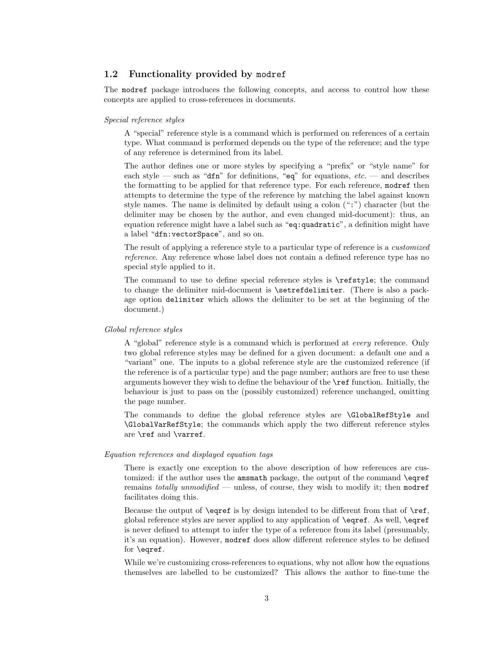# 1.2 Functionality provided by modref

The modref package introduces the following concepts, and access to control how these concepts are applied to cross-references in documents.

### Special reference styles

A "special" reference style is a command which is performed on references of a certain type. What command is performed depends on the type of the reference; and the type of any reference is determined from its label.

The author defines one or more styles by specifying a "prefix" or "style name" for each style — such as "dfn" for definitions, "eq" for equations,  $etc.$  — and describes the formatting to be applied for that reference type. For each reference, modref then attempts to determine the type of the reference by matching the label against known style names. The name is delimited by default using a colon (":") character (but the delimiter may be chosen by the author, and even changed mid-document): thus, an equation reference might have a label such as "eq:quadratic", a definition might have a label "dfn:vectorSpace", and so on.

The result of applying a reference style to a particular type of reference is a customized reference. Any reference whose label does not contain a defined reference type has no special style applied to it.

The command to use to define special reference styles is \refstyle; the command to change the delimiter mid-document is \setrefdelimiter. (There is also a package option delimiter which allows the delimiter to be set at the beginning of the document.)

### Global reference styles

A "global" reference style is a command which is performed at every reference. Only two global reference styles may be defined for a given document: a default one and a "variant" one. The inputs to a global reference style are the customized reference (if the reference is of a particular type) and the page number; authors are free to use these arguments however they wish to define the behaviour of the \ref function. Initially, the behaviour is just to pass on the (possibly customized) reference unchanged, omitting the page number.

The commands to define the global reference styles are \GlobalRefStyle and \GlobalVarRefStyle; the commands which apply the two different reference styles are \ref and \varref.

### Equation references and displayed equation tags

There is exactly one exception to the above description of how references are customized: if the author uses the amsmath package, the output of the command \eqref remains totally unmodified — unless, of course, they wish to modify it; then modref facilitates doing this.

Because the output of **\eqref** is by design intended to be different from that of  $\ref$ , global reference styles are never applied to any application of \eqref. As well, \eqref is never defined to attempt to infer the type of a reference from its label (presumably, it's an equation). However, modref does allow different reference styles to be defined for \eqref.

While we're customizing cross-references to equations, why not allow how the equations themselves are labelled to be customized? This allows the author to fine-tune the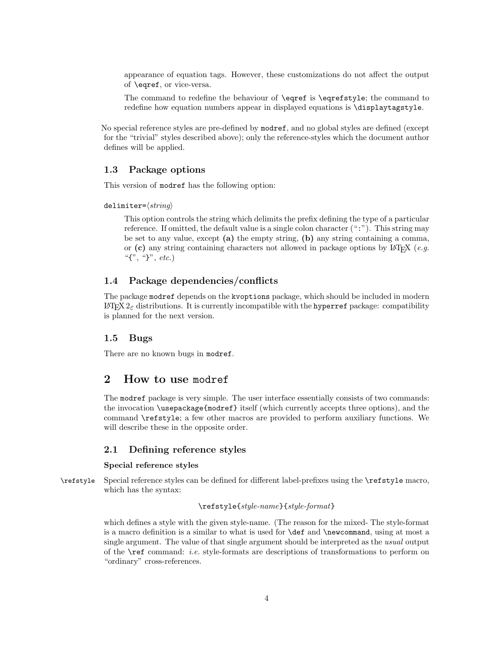appearance of equation tags. However, these customizations do not affect the output of \eqref, or vice-versa.

The command to redefine the behaviour of \eqref is \eqrefstyle; the command to redefine how equation numbers appear in displayed equations is \displaytagstyle.

No special reference styles are pre-defined by modref, and no global styles are defined (except for the "trivial" styles described above); only the reference-styles which the document author defines will be applied.

## 1.3 Package options

This version of modref has the following option:

delimiter= $\langle string \rangle$ 

This option controls the string which delimits the prefix defining the type of a particular reference. If omitted, the default value is a single colon character (":"). This string may be set to any value, except (a) the empty string, (b) any string containing a comma, or (c) any string containing characters not allowed in package options by LATEX (e.g. " $\{$ ", "}", etc.)

## 1.4 Package dependencies/conflicts

The package modref depends on the kvoptions package, which should be included in modern LAT<sub>E</sub>X  $2<sub>ε</sub>$  distributions. It is currently incompatible with the **hyperref** package: compatibility is planned for the next version.

# 1.5 Bugs

There are no known bugs in modref.

# 2 How to use modref

The modref package is very simple. The user interface essentially consists of two commands: the invocation \usepackage{modref} itself (which currently accepts three options), and the command \refstyle; a few other macros are provided to perform auxiliary functions. We will describe these in the opposite order.

## 2.1 Defining reference styles

### Special reference styles

\refstyle Special reference styles can be defined for different label-prefixes using the \refstyle macro, which has the syntax:

# \refstyle{style-name}{style-format}

which defines a style with the given style-name. (The reason for the mixed- The style-format is a macro definition is a similar to what is used for \def and \newcommand, using at most a single argument. The value of that single argument should be interpreted as the usual output of the \ref command: i.e. style-formats are descriptions of transformations to perform on "ordinary" cross-references.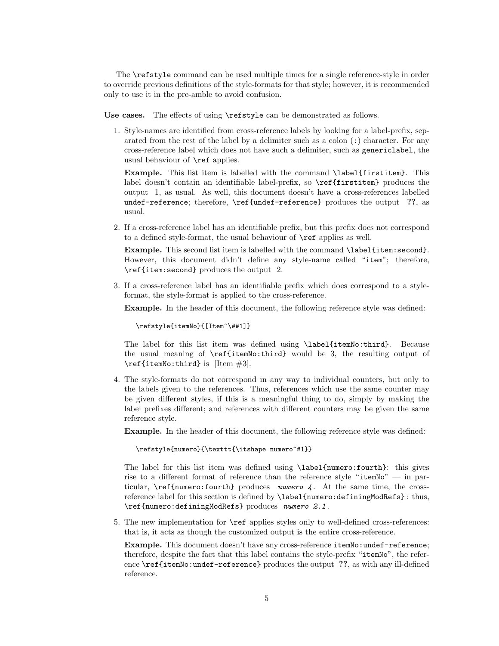The \refstyle command can be used multiple times for a single reference-style in order to override previous definitions of the style-formats for that style; however, it is recommended only to use it in the pre-amble to avoid confusion.

Use cases. The effects of using **\refstyle** can be demonstrated as follows.

1. Style-names are identified from cross-reference labels by looking for a label-prefix, separated from the rest of the label by a delimiter such as a colon (:) character. For any cross-reference label which does not have such a delimiter, such as genericlabel, the usual behaviour of \ref applies.

Example. This list item is labelled with the command \label{firstitem}. This label doesn't contain an identifiable label-prefix, so  $\ref{firstitem}$  produces the output 1, as usual. As well, this document doesn't have a cross-references labelled undef-reference; therefore, \ref{undef-reference} produces the output ??, as usual.

2. If a cross-reference label has an identifiable prefix, but this prefix does not correspond to a defined style-format, the usual behaviour of \ref applies as well.

Example. This second list item is labelled with the command \label{item:second}. However, this document didn't define any style-name called "item"; therefore, \ref{item:second} produces the output 2.

3. If a cross-reference label has an identifiable prefix which does correspond to a styleformat, the style-format is applied to the cross-reference.

Example. In the header of this document, the following reference style was defined:

\refstyle{itemNo}{[Item~\##1]}

The label for this list item was defined using \label{itemNo:third}. Because the usual meaning of \ref{itemNo:third} would be 3, the resulting output of  $\ref{itemNo:third}$  is [Item #3].

4. The style-formats do not correspond in any way to individual counters, but only to the labels given to the references. Thus, references which use the same counter may be given different styles, if this is a meaningful thing to do, simply by making the label prefixes different; and references with different counters may be given the same reference style.

Example. In the header of this document, the following reference style was defined:

\refstyle{numero}{\texttt{\itshape numero~#1}}

The label for this list item was defined using \label{numero:fourth}: this gives rise to a different format of reference than the reference style "itemNo" — in particular,  $\ref{numbero:fourth}$  produces numero 4. At the same time, the crossreference label for this section is defined by \label{numero:definingModRefs} : thus, \ref{numero:definingModRefs} produces numero 2.1 .

5. The new implementation for \ref applies styles only to well-defined cross-references: that is, it acts as though the customized output is the entire cross-reference.

Example. This document doesn't have any cross-reference itemNo:undef-reference; therefore, despite the fact that this label contains the style-prefix "itemNo", the reference \ref{itemNo:undef-reference} produces the output ??, as with any ill-defined reference.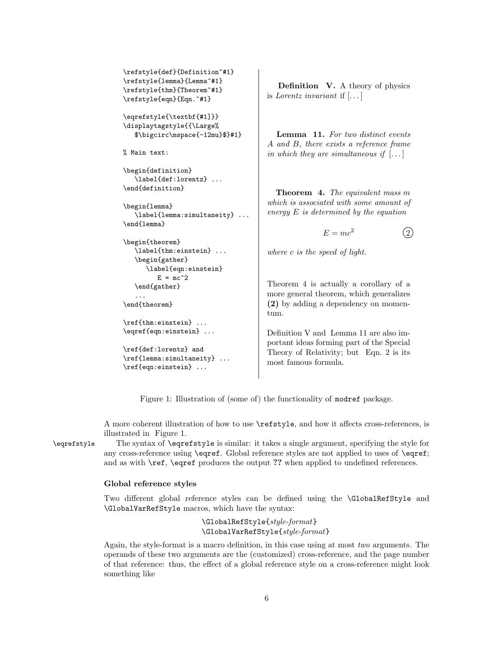```
\refstyle{def}{Definition~#1}
\refstyle{lemma}{Lemma~#1}
\refstyle{thm}{Theorem~#1}
\refstyle{eqn}{Eqn.~#1}
```
\eqrefstyle{\textbf{#1]}} \displaytagstyle{{\Large% \$\bigcirc\mspace{-12mu}\$}#1}

% Main text:

```
\begin{definition}
   \label{def:lorentz} ...
\end{definition}
```

```
\begin{lemma}
  \label{lemma:simultaneity} ...
\end{lemma}
```

```
\begin{theorem}
  \label{thm:einstein} ...
   \begin{gather}
      \label{eqn:einstein}
        E = mc^2\end{gather}
```
\end{theorem}

...

```
\ref{thm:einstein} ...
\eqref{eqn:einstein} ...
```

```
\ref{def:lorentz} and
\ref{lemma:simultaneity} ...
\ref{eqn:einstein} ...
```
Definition V. A theory of physics is Lorentz invariant if  $\left[ \ldots \right]$ 

Lemma 11. For two distinct events A and B, there exists a reference frame in which they are simultaneous if  $[\dots]$ 

Theorem 4. The equivalent mass m which is associated with some amount of energy E is determined by the equation

 $E = mc^2$  (2)

where c is the speed of light.

Theorem 4 is actually a corollary of a more general theorem, which generalizes (2) by adding a dependency on momentum.

Definition V and Lemma 11 are also important ideas forming part of the Special Theory of Relativity; but Eqn. 2 is its most famous formula.

Figure 1: Illustration of (some of) the functionality of modref package.

A more coherent illustration of how to use \refstyle, and how it affects cross-references, is illustrated in Figure 1.

\eqrefstyle The syntax of \eqrefstyle is similar: it takes a single argument, specifying the style for any cross-reference using \eqref. Global reference styles are not applied to uses of \eqref; and as with \ref, \eqref produces the output ?? when applied to undefined references.

### Global reference styles

Two different global reference styles can be defined using the \GlobalRefStyle and \GlobalVarRefStyle macros, which have the syntax:

> \GlobalRefStyle{style-format} \GlobalVarRefStyle{style-format}

Again, the style-format is a macro definition, in this case using at most two arguments. The operands of these two arguments are the (customized) cross-reference, and the page number of that reference: thus, the effect of a global reference style on a cross-reference might look something like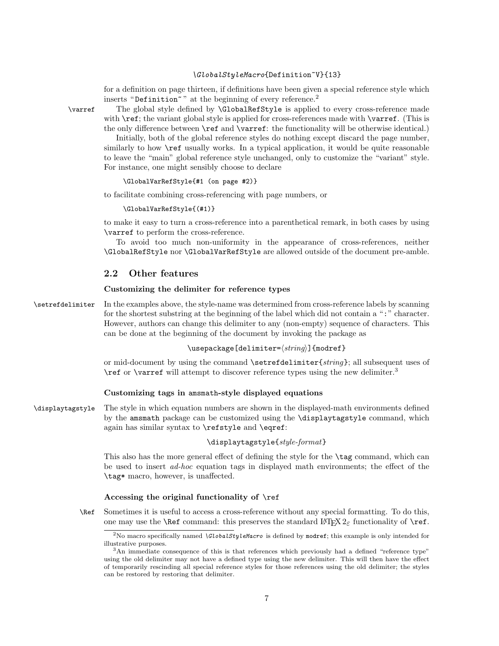### \GlobalStyleMacro{Definition~V}{13}

for a definition on page thirteen, if definitions have been given a special reference style which inserts "Definition"" at the beginning of every reference.<sup>2</sup>

\varref The global style defined by \GlobalRefStyle is applied to every cross-reference made with  $\ref{$ ; the variant global style is applied for cross-references made with  $\varphi$ . (This is the only difference between \ref and \varref: the functionality will be otherwise identical.)

Initially, both of the global reference styles do nothing except discard the page number, similarly to how **\ref** usually works. In a typical application, it would be quite reasonable to leave the "main" global reference style unchanged, only to customize the "variant" style. For instance, one might sensibly choose to declare

### \GlobalVarRefStyle{#1 (on page #2)}

to facilitate combining cross-referencing with page numbers, or

#### \GlobalVarRefStyle{(#1)}

to make it easy to turn a cross-reference into a parenthetical remark, in both cases by using \varref to perform the cross-reference.

To avoid too much non-uniformity in the appearance of cross-references, neither \GlobalRefStyle nor \GlobalVarRefStyle are allowed outside of the document pre-amble.

# 2.2 Other features

### Customizing the delimiter for reference types

\setrefdelimiter In the examples above, the style-name was determined from cross-reference labels by scanning for the shortest substring at the beginning of the label which did not contain a ":" character. However, authors can change this delimiter to any (non-empty) sequence of characters. This can be done at the beginning of the document by invoking the package as

### \usepackage[delimiter= $\langle string \rangle$ ]{modref}

or mid-document by using the command \setrefdelimiter{string}; all subsequent uses of \ref or \varref will attempt to discover reference types using the new delimiter.<sup>3</sup>

### Customizing tags in amsmath-style displayed equations

\displaytagstyle The style in which equation numbers are shown in the displayed-math environments defined by the amsmath package can be customized using the \displaytagstyle command, which again has similar syntax to \refstyle and \eqref:

### \displaytagstyle{style-format}

This also has the more general effect of defining the style for the \tag command, which can be used to insert ad-hoc equation tags in displayed math environments; the effect of the \tag\* macro, however, is unaffected.

### Accessing the original functionality of \ref

\Ref Sometimes it is useful to access a cross-reference without any special formatting. To do this, one may use the **\Ref** command: this preserves the standard  $\text{LATEX } 2 \epsilon$  functionality of **\ref.** 

<sup>&</sup>lt;sup>2</sup>No macro specifically named \GlobalStyleMacro is defined by modref; this example is only intended for illustrative purposes.

<sup>&</sup>lt;sup>3</sup>An immediate consequence of this is that references which previously had a defined "reference type" using the old delimiter may not have a defined type using the new delimiter. This will then have the effect of temporarily rescinding all special reference styles for those references using the old delimiter; the styles can be restored by restoring that delimiter.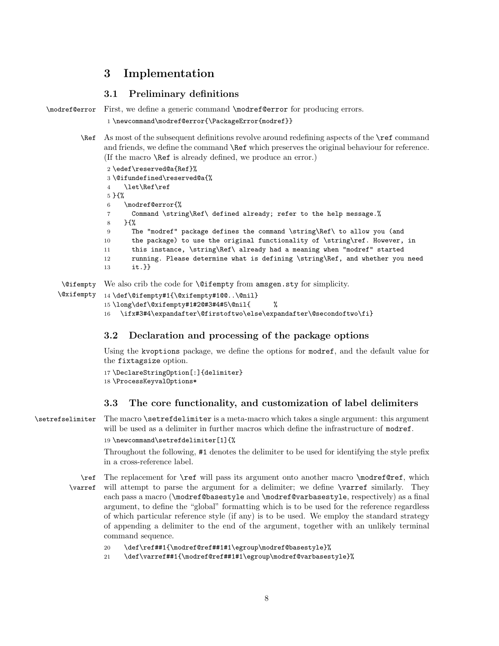# 3 Implementation

# 3.1 Preliminary definitions

```
\modref@error First, we define a generic command \modref@error for producing errors.
```

```
1 \newcommand\modref@error{\PackageError{modref}}
```
\Ref As most of the subsequent definitions revolve around redefining aspects of the \ref command and friends, we define the command **\Ref** which preserves the original behaviour for reference. (If the macro \Ref is already defined, we produce an error.)

```
2 \edef\reserved@a{Ref}%
            3 \@ifundefined\reserved@a{%
            4 \let\Ref\ref
            5 }{%
            6 \modref@error{%
            7 Command \string\Ref\ defined already; refer to the help message.%
            8 }{%
            9 The "modref" package defines the command \string\Ref\ to allow you (and
           10 the package) to use the original functionality of \string\ref. However, in
           11 this instance, \string\Ref\ already had a meaning when "modref" started
           12 running. Please determine what is defining \string\Ref, and whether you need
           13 it.}}
\@ifempty
\@xifempty
           We also crib the code for \@ifempty from amsgen.sty for simplicity.
           14 \def\@ifempty#1{\@xifempty#1@@..\@nil}
           15 \long\def\@xifempty#1#2@#3#4#5\@nil{ %
```

```
16 \ifx#3#4\expandafter\@firstoftwo\else\expandafter\@secondoftwo\fi}
```
# 3.2 Declaration and processing of the package options

Using the kvoptions package, we define the options for modref, and the default value for the fixtagsize option.

```
17 \DeclareStringOption[:]{delimiter}
18 \ProcessKeyvalOptions*
```
# 3.3 The core functionality, and customization of label delimiters

\setrefselimiter The macro \setrefdelimiter is a meta-macro which takes a single argument: this argument will be used as a delimiter in further macros which define the infrastructure of modref. 19 \newcommand\setrefdelimiter[1]{%

> Throughout the following, #1 denotes the delimiter to be used for identifying the style prefix in a cross-reference label.

\ref \varref The replacement for  $\ref{will pass its argument onto another macro \modref@ref, which}$ will attempt to parse the argument for a delimiter; we define **\varref** similarly. They each pass a macro (\modref@basestyle and \modref@varbasestyle, respectively) as a final argument, to define the "global" formatting which is to be used for the reference regardless of which particular reference style (if any) is to be used. We employ the standard strategy of appending a delimiter to the end of the argument, together with an unlikely terminal command sequence.

```
20 \def\ref##1{\modref@ref##1#1\egroup\modref@basestyle}%
```

```
21 \def\varref##1{\modref@ref##1#1\egroup\modref@varbasestyle}%
```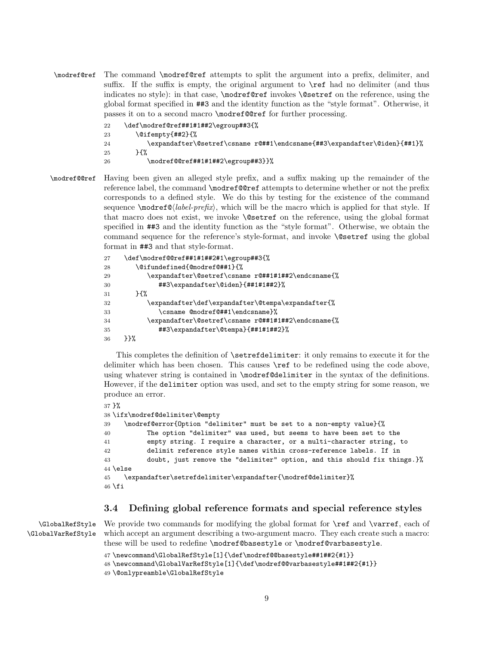\modref@ref The command \modref@ref attempts to split the argument into a prefix, delimiter, and suffix. If the suffix is empty, the original argument to **\ref** had no delimiter (and thus indicates no style): in that case, \modref@ref invokes \@setref on the reference, using the global format specified in ##3 and the identity function as the "style format". Otherwise, it passes it on to a second macro \modref@@ref for further processing.

```
22 \def\modref@ref##1#1##2\egroup##3{%
23 \@ifempty{##2}{%
24 \expandafter\@setref\csname r@##1\endcsname{##3\expandafter\@iden}{##1}%
25 }{%
26 \modref@@ref##1#1##2\egroup##3}}%
```
\modref@@ref Having been given an alleged style prefix, and a suffix making up the remainder of the reference label, the command \modref@@ref attempts to determine whether or not the prefix corresponds to a defined style. We do this by testing for the existence of the command sequence  $\mod$ = $\mathcal{Q}(label-prefx)$ , which will be the macro which is applied for that style. If that macro does not exist, we invoke \@setref on the reference, using the global format specified in ##3 and the identity function as the "style format". Otherwise, we obtain the command sequence for the reference's style-format, and invoke \@setref using the global format in ##3 and that style-format.

```
27 \def\modref@@ref##1#1##2#1\egroup##3{%
28 \@ifundefined{@modref@##1}{%
29 \expandafter\@setref\csname r@##1#1##2\endcsname{%
30 ##3\expandafter\@iden}{##1#1##2}%
31 } {%
32 \expandafter\def\expandafter\@tempa\expandafter{%
33 \csname @modref@##1\endcsname}%
34 \expandafter\@setref\csname r@##1#1##2\endcsname{%
35 ##3\expandafter\@tempa}{##1#1##2}%
36 }}%
```
This completes the definition of \setrefdelimiter: it only remains to execute it for the delimiter which has been chosen. This causes \ref to be redefined using the code above, using whatever string is contained in \modref@delimiter in the syntax of the definitions. However, if the delimiter option was used, and set to the empty string for some reason, we produce an error.

```
37 }%
38 \ifx\modref@delimiter\@empty
39 \modref@error{Option "delimiter" must be set to a non-empty value}{%
40 The option "delimiter" was used, but seems to have been set to the
41 empty string. I require a character, or a multi-character string, to
42 delimit reference style names within cross-reference labels. If in
43 doubt, just remove the "delimiter" option, and this should fix things.}%
44 \else
45 \expandafter\setrefdelimiter\expandafter{\modref@delimiter}%
46 \fi
```
# 3.4 Defining global reference formats and special reference styles

\GlobalRefStyle \GlobalVarRefStyle

We provide two commands for modifying the global format for  $\ref$  and  $\varref$ , each of which accept an argument describing a two-argument macro. They each create such a macro: these will be used to redefine \modref@basestyle or \modref@varbasestyle.

```
47 \newcommand\GlobalRefStyle[1]{\def\modref@@basestyle##1##2{#1}}
48 \newcommand\GlobalVarRefStyle[1]{\def\modref@@varbasestyle##1##2{#1}}
49 \@onlypreamble\GlobalRefStyle
```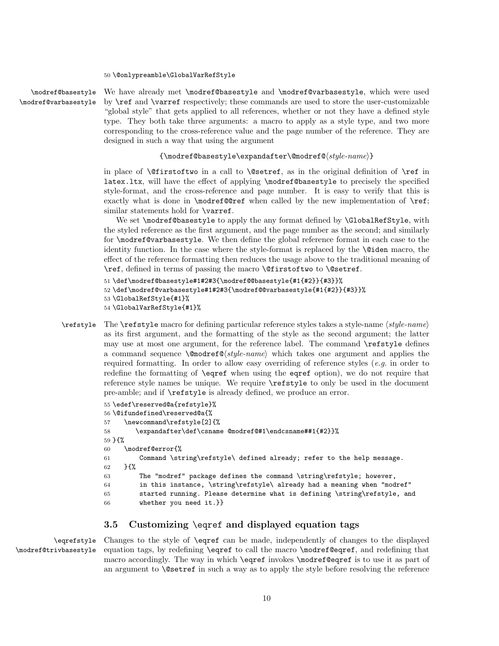\modref@basestyle \modref@varbasestyle We have already met \modref@basestyle and \modref@varbasestyle, which were used by \ref and \varref respectively; these commands are used to store the user-customizable "global style" that gets applied to all references, whether or not they have a defined style type. They both take three arguments: a macro to apply as a style type, and two more corresponding to the cross-reference value and the page number of the reference. They are designed in such a way that using the argument

### ${\mathcalC}$ sestyle\expandafter\@modref@\\style-name\}

in place of  $\@f{in}$  in a call to  $\@sete{e}{\def}$ , as in the original definition of  $\ref{in}$ latex.ltx, will have the effect of applying \modref@basestyle to precisely the specified style-format, and the cross-reference and page number. It is easy to verify that this is exactly what is done in \modref@ref when called by the new implementation of \ref; similar statements hold for **\varref**.

We set \modref@basestyle to apply the any format defined by \GlobalRefStyle, with the styled reference as the first argument, and the page number as the second; and similarly for \modref@varbasestyle. We then define the global reference format in each case to the identity function. In the case where the style-format is replaced by the \@iden macro, the effect of the reference formatting then reduces the usage above to the traditional meaning of \ref, defined in terms of passing the macro \@firstoftwo to \@setref.

```
51 \def\modref@basestyle#1#2#3{\modref@@basestyle{#1{#2}}{#3}}%
52 \def\modref@varbasestyle#1#2#3{\modref@@varbasestyle{#1{#2}}{#3}}%
53 \GlobalRefStyle{#1}%
54 \GlobalVarRefStyle{#1}%
```
 $\ref{style}$  The  $\ref{style}$  macro for defining particular reference styles takes a style-name  $\langle$  style-name) as its first argument, and the formatting of the style as the second argument; the latter may use at most one argument, for the reference label. The command \refstyle defines a command sequence  $\omega$ :  $\omega$  is  $\omega$  and  $\omega$  which takes one argument and applies the required formatting. In order to allow easy overriding of reference styles (e.g. in order to redefine the formatting of \eqref when using the eqref option), we do not require that reference style names be unique. We require \refstyle to only be used in the document pre-amble; and if \refstyle is already defined, we produce an error.

```
55 \edef\reserved@a{refstyle}%
56 \@ifundefined\reserved@a{%
57 \newcommand\refstyle[2]{%
58 \expandafter\def\csname @modref@#1\endcsname##1{#2}}%
59 }{%
60 \modref@error{%
61 Command \string\refstyle\ defined already; refer to the help message.
62 \frac{\text{H}}{\text{s}}63 The "modref" package defines the command \string\refstyle; however,
64 in this instance, \string\refstyle\ already had a meaning when "modref"
65 started running. Please determine what is defining \string\refstyle, and
66 whether you need it.}}
```
# 3.5 Customizing \eqref and displayed equation tags

\eqrefstyle \modref@trivbasestyle

Changes to the style of \eqref can be made, independently of changes to the displayed equation tags, by redefining \eqref to call the macro \modref@eqref, and redefining that macro accordingly. The way in which \eqref invokes \modref@eqref is to use it as part of an argument to \@setref in such a way as to apply the style before resolving the reference